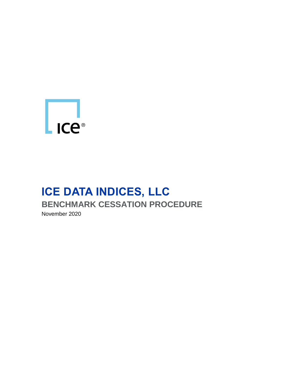

# **ICE DATA INDICES, LLC BENCHMARK CESSATION PROCEDURE** November 2020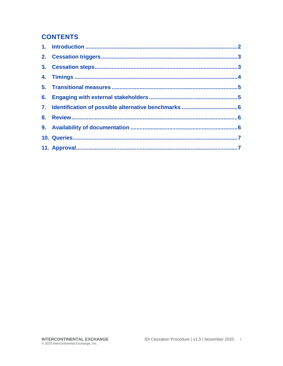#### **CONTENTS**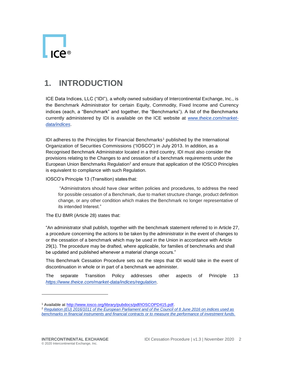

## <span id="page-2-0"></span>**1. INTRODUCTION**

ICE Data Indices, LLC ("IDI"), a wholly owned subsidiary of Intercontinental Exchange, Inc., is the Benchmark Administrator for certain Equity, Commodity, Fixed Income and Currency indices (each, a "Benchmark" and together, the "Benchmarks"). A list of the Benchmarks currently administered by IDI is available on the ICE website at *[www.theice.com/market](http://www.theice.com/market-data/indices)[data/indices](http://www.theice.com/market-data/indices)*.

IDI adheres to the Principles for Financial Benchmarks<sup>1</sup> published by the International Organization of Securities Commissions ("IOSCO") in July 2013. In addition, as a Recognised Benchmark Administrator located in a third country, IDI must also consider the provisions relating to the Changes to and cessation of a benchmark requirements under the European Union Benchmarks Regulation<sup>2</sup> and ensure that application of the IOSCO Principles is equivalent to compliance with such Regulation.

IOSCO's Principle 13 (Transition) states that:

"Administrators should have clear written policies and procedures, to address the need for possible cessation of a Benchmark, due to market structure change, product definition change, or any other condition which makes the Benchmark no longer representative of its intended Interest."

The EU BMR (Article 28) states that:

"An administrator shall publish, together with the benchmark statement referred to in Article 27, a procedure concerning the actions to be taken by the administrator in the event of changes to or the cessation of a benchmark which may be used in the Union in accordance with Article 29(1). The procedure may be drafted, where applicable, for families of benchmarks and shall be updated and published whenever a material change occurs."

This Benchmark Cessation Procedure sets out the steps that IDI would take in the event of discontinuation in whole or in part of a benchmark we administer.

The separate Transition Policy addresses other aspects of Principle 13 *<https://www.theice.com/market-data/indices/regulation>*.

l

<sup>&</sup>lt;sup>1</sup> Available at [http://www.iosco.org/library/pubdocs/pdf/IOSCOPD415.pdf.](http://www.iosco.org/library/pubdocs/pdf/IOSCOPD415.pdf)

<sup>2</sup> *[Regulation \(EU\) 2016/1011 of the European Parliament and of the Council of 8 June 2016 on indices used as](https://eur-lex.europa.eu/legal-content/EN/TXT/?uri=CELEX%3A32016R1011)  [benchmarks in financial instruments and financial contracts or to measure the performance of investment funds.](https://eur-lex.europa.eu/legal-content/EN/TXT/?uri=CELEX%3A32016R1011)*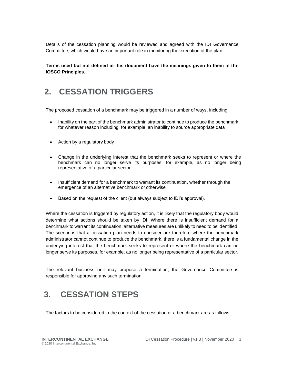Details of the cessation planning would be reviewed and agreed with the IDI Governance Committee, which would have an important role in monitoring the execution of the plan.

**Terms used but not defined in this document have the meanings given to them in the IOSCO Principles.**

## <span id="page-3-0"></span>**2. CESSATION TRIGGERS**

The proposed cessation of a benchmark may be triggered in a number of ways, including:

- Inability on the part of the benchmark administrator to continue to produce the benchmark for whatever reason including, for example, an inability to source appropriate data
- Action by a regulatory body
- Change in the underlying interest that the benchmark seeks to represent or where the benchmark can no longer serve its purposes, for example, as no longer being representative of a particular sector
- Insufficient demand for a benchmark to warrant its continuation, whether through the emergence of an alternative benchmark or otherwise
- Based on the request of the client (but always subject to IDI's approval).

Where the cessation is triggered by regulatory action, it is likely that the regulatory body would determine what actions should be taken by IDI. Where there is insufficient demand for a benchmark to warrant its continuation, alternative measures are unlikely to need to be identified. The scenarios that a cessation plan needs to consider are therefore where the benchmark administrator cannot continue to produce the benchmark, there is a fundamental change in the underlying interest that the benchmark seeks to represent or where the benchmark can no longer serve its purposes, for example, as no longer being representative of a particular sector.

The relevant business unit may propose a termination; the Governance Committee is responsible for approving any such termination.

## <span id="page-3-1"></span>**3. CESSATION STEPS**

The factors to be considered in the context of the cessation of a benchmark are as follows: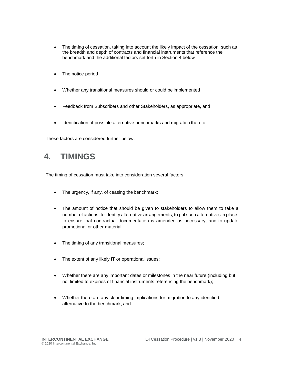- The timing of cessation, taking into account the likely impact of the cessation, such as the breadth and depth of contracts and financial instruments that reference the benchmark and the additional factors set forth in Section 4 below
- The notice period
- Whether any transitional measures should or could be implemented
- Feedback from Subscribers and other Stakeholders, as appropriate, and
- Identification of possible alternative benchmarks and migration thereto.

These factors are considered further below.

#### <span id="page-4-0"></span>**4. TIMINGS**

The timing of cessation must take into consideration several factors:

- The urgency, if any, of ceasing the benchmark;
- The amount of notice that should be given to stakeholders to allow them to take a number of actions: to identify alternative arrangements; to put such alternatives in place; to ensure that contractual documentation is amended as necessary; and to update promotional or other material;
- The timing of any transitional measures;
- The extent of any likely IT or operational issues;
- Whether there are any important dates or milestones in the near future (including but not limited to expiries of financial instruments referencing the benchmark);
- Whether there are any clear timing implications for migration to any identified alternative to the benchmark; and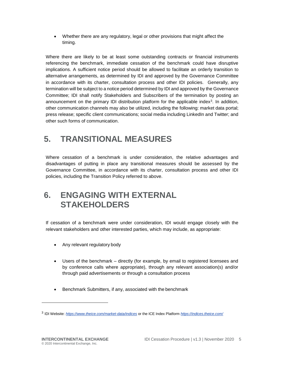Whether there are any regulatory, legal or other provisions that might affect the timing.

Where there are likely to be at least some outstanding contracts or financial instruments referencing the benchmark, immediate cessation of the benchmark could have disruptive implications. A sufficient notice period should be allowed to facilitate an orderly transition to alternative arrangements, as determined by IDI and approved by the Governance Committee in accordance with its charter, consultation process and other IDI policies. Generally, any termination will be subject to a notice period determined by IDI and approved by the Governance Committee; IDI shall notify Stakeholders and Subscribers of the termination by posting an announcement on the primary IDI distribution platform for the applicable index<sup>3</sup>. In addition, other communication channels may also be utilized, including the following: market data portal; press release; specific client communications; social media including LinkedIn and Twitter; and other such forms of communication.

## <span id="page-5-0"></span>**5. TRANSITIONAL MEASURES**

Where cessation of a benchmark is under consideration, the relative advantages and disadvantages of putting in place any transitional measures should be assessed by the Governance Committee, in accordance with its charter, consultation process and other IDI policies, including the Transition Policy referred to above.

#### <span id="page-5-1"></span>**6. ENGAGING WITH EXTERNAL STAKEHOLDERS**

If cessation of a benchmark were under consideration, IDI would engage closely with the relevant stakeholders and other interested parties, which may include, as appropriate:

- Any relevant regulatory body
- Users of the benchmark directly (for example, by email to registered licensees and by conference calls where appropriate), through any relevant association(s) and/or through paid advertisements or through a consultation process
- Benchmark Submitters, if any, associated with the benchmark

l

<sup>3</sup> IDI Website: *<https://www.theice.com/market-data/indices>* or the ICE Index Platform *<https://indices.theice.com/>*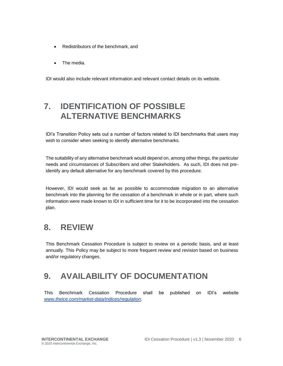- Redistributors of the benchmark, and
- The media.

IDI would also include relevant information and relevant contact details on its website.

## <span id="page-6-0"></span>**7. IDENTIFICATION OF POSSIBLE ALTERNATIVE BENCHMARKS**

IDI's Transition Policy sets out a number of factors related to IDI benchmarks that users may wish to consider when seeking to identify alternative benchmarks.

The suitability of any alternative benchmark would depend on, among other things, the particular needs and circumstances of Subscribers and other Stakeholders. As such, IDI does not preidentify any default alternative for any benchmark covered by this procedure.

However, IDI would seek as far as possible to accommodate migration to an alternative benchmark into the planning for the cessation of a benchmark in whole or in part, where such information were made known to IDI in sufficient time for it to be incorporated into the cessation plan.

#### <span id="page-6-1"></span>**8. REVIEW**

This Benchmark Cessation Procedure is subject to review on a periodic basis, and at least annually. This Policy may be subject to more frequent review and revision based on business and/or regulatory changes.

## <span id="page-6-2"></span>**9. AVAILABILITY OF DOCUMENTATION**

This Benchmark Cessation Procedure shall be published on IDI's website *[www.theice.com/market-data/indices/regulation](http://www.theice.com/market-data/indices/regulation)*.